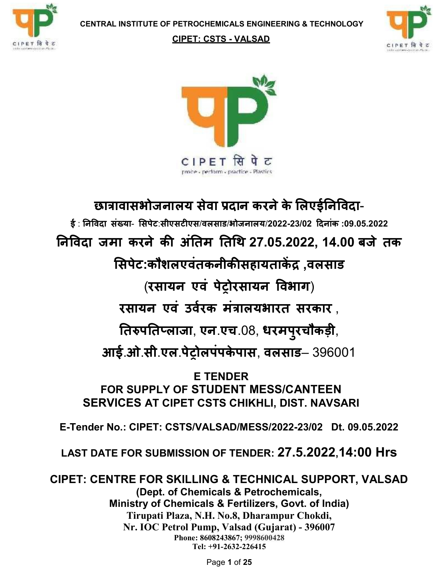

#### CIPET: CSTS - VALSAD





# छात्रावासभोजनालय सेवा प्रदान करने के लिएईनिविदा-

 $\frac{2}{3}$ : निविदा संख्या- सिपेट:सीएसटीएस/वलसाड/भोजनालय/2022-23/02 दिनांक :09.05.2022 निविदा जमा करने की अंतिम तिथि 27.05.2022, 14.00 बजे तक

सिपेट:कौशलएवंतकनीकीसहायताकेंद्र,वलसाड

(रसायन एवं पेट्रोरसायन विभाग)

रसायन एवं उर्वरक मंत्रालयभारत सरकार ,

तिरुपतिप्लाजा, एन.एच.08, धरमपुरचौकड़ी,

आई.ओ.सी.एल.पेट्रोलपंपकेपास, वलसाड– 396001

E TENDER FOR SUPPLY OF STUDENT MESS/CANTEEN SERVICES AT CIPET CSTS CHIKHLI, DIST. NAVSARI

E-Tender No.: CIPET: CSTS/VALSAD/MESS/2022-23/02 Dt. 09.05.2022

LAST DATE FOR SUBMISSION OF TENDER: 27.5.2022,14:00 Hrs

CIPET: CENTRE FOR SKILLING & TECHNICAL SUPPORT, VALSAD (Dept. of Chemicals & Petrochemicals, Ministry of Chemicals & Fertilizers, Govt. of India) Tirupati Plaza, N.H. No.8, Dharampur Chokdi, Nr. IOC Petrol Pump, Valsad (Gujarat) - 396007 Phone: 8608243867; 9998600428 Tel: +91-2632-226415

Page 1 of 25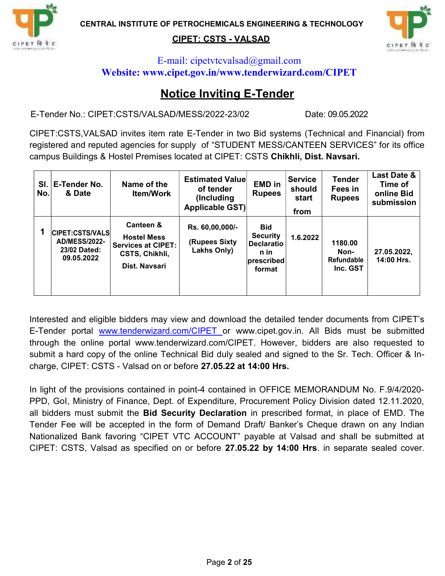

#### CIPET: CSTS - VALSAD



#### E-mail: cipetvtcvalsad@gmail.com Website: www.cipet.gov.in/www.tenderwizard.com/CIPET

### Notice Inviting E-Tender

E-Tender No.: CIPET:CSTS/VALSAD/MESS/2022-23/02 Date: 09.05.2022

CIPET:CSTS,VALSAD invites item rate E-Tender in two Bid systems (Technical and Financial) from registered and reputed agencies for supply of "STUDENT MESS/CANTEEN SERVICES" for its office campus Buildings & Hostel Premises located at CIPET: CSTS Chikhli, Dist. Navsari.

| No. | SI. E-Tender No.<br>& Date                                                   | Name of the<br><b>Item/Work</b>                                                          | <b>Estimated Value</b><br>of tender<br>(Including)<br>Applicable GST) | <b>EMD</b> in<br><b>Rupees</b>                                                     | <b>Service</b><br>should<br>start<br>from | <b>Tender</b><br>Fees in<br><b>Rupees</b> | Last Date &<br>Time of<br>online Bid<br>submission |
|-----|------------------------------------------------------------------------------|------------------------------------------------------------------------------------------|-----------------------------------------------------------------------|------------------------------------------------------------------------------------|-------------------------------------------|-------------------------------------------|----------------------------------------------------|
|     | <b>CIPET:CSTS/VALS</b><br><b>AD/MESS/2022-</b><br>23/02 Dated:<br>09.05.2022 | Canteen &<br><b>Hostel Mess</b><br>Services at CIPET:<br>CSTS, Chikhli,<br>Dist. Navsari | Rs. 60,00,000/-<br>(Rupees Sixty<br>Lakhs Only)                       | Bid<br><b>Security</b><br><b>Declaratio</b><br>n in<br><b>prescribed</b><br>format | 1.6.2022                                  | 1180.00<br>Non-<br>Refundable<br>Inc. GST | 27.05.2022,<br>14:00 Hrs.                          |

Interested and eligible bidders may view and download the detailed tender documents from CIPET's E-Tender portal www.tenderwizard.com/CIPET or www.cipet.gov.in. All Bids must be submitted through the online portal www.tenderwizard.com/CIPET. However, bidders are also requested to submit a hard copy of the online Technical Bid duly sealed and signed to the Sr. Tech. Officer & Incharge, CIPET: CSTS - Valsad on or before 27.05.22 at 14:00 Hrs.

In light of the provisions contained in point-4 contained in OFFICE MEMORANDUM No. F.9/4/2020- PPD, GoI, Ministry of Finance, Dept. of Expenditure, Procurement Policy Division dated 12.11.2020, all bidders must submit the **Bid Security Declaration** in prescribed format, in place of EMD. The Tender Fee will be accepted in the form of Demand Draft/ Banker's Cheque drawn on any Indian Nationalized Bank favoring "CIPET VTC ACCOUNT" payable at Valsad and shall be submitted at CIPET: CSTS, Valsad as specified on or before 27.05.22 by 14:00 Hrs. in separate sealed cover.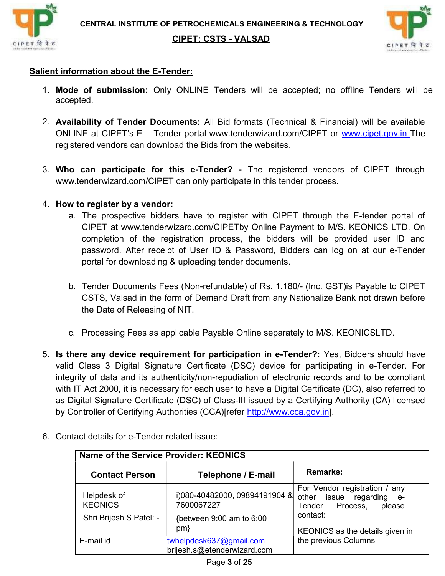



#### Salient information about the E-Tender:

- 1. Mode of submission: Only ONLINE Tenders will be accepted; no offline Tenders will be accepted.
- 2. Availability of Tender Documents: All Bid formats (Technical & Financial) will be available ONLINE at CIPET's E – Tender portal www.tenderwizard.com/CIPET or www.cipet.gov.in The registered vendors can download the Bids from the websites.
- 3. Who can participate for this e-Tender? The registered vendors of CIPET through www.tenderwizard.com/CIPET can only participate in this tender process.

#### 4. How to register by a vendor:

- a. The prospective bidders have to register with CIPET through the E-tender portal of CIPET at www.tenderwizard.com/CIPETby Online Payment to M/S. KEONICS LTD. On completion of the registration process, the bidders will be provided user ID and password. After receipt of User ID & Password, Bidders can log on at our e-Tender portal for downloading & uploading tender documents.
- b. Tender Documents Fees (Non-refundable) of Rs. 1,180/- (Inc. GST)is Payable to CIPET CSTS, Valsad in the form of Demand Draft from any Nationalize Bank not drawn before the Date of Releasing of NIT.
- c. Processing Fees as applicable Payable Online separately to M/S. KEONICSLTD.
- 5. Is there any device requirement for participation in e-Tender?: Yes, Bidders should have valid Class 3 Digital Signature Certificate (DSC) device for participating in e-Tender. For integrity of data and its authenticity/non-repudiation of electronic records and to be compliant with IT Act 2000, it is necessary for each user to have a Digital Certificate (DC), also referred to as Digital Signature Certificate (DSC) of Class-III issued by a Certifying Authority (CA) licensed by Controller of Certifying Authorities (CCA)[refer http://www.cca.gov.in].

| Name of the Service Provider: KEONICS |                                                        |                                                                                        |  |  |  |  |  |
|---------------------------------------|--------------------------------------------------------|----------------------------------------------------------------------------------------|--|--|--|--|--|
| <b>Contact Person</b>                 | Telephone / E-mail                                     | <b>Remarks:</b>                                                                        |  |  |  |  |  |
| Helpdesk of<br><b>KEONICS</b>         | i)080-40482000, 09894191904 &<br>7600067227            | For Vendor registration / any<br>other issue regarding e-<br>Tender Process,<br>please |  |  |  |  |  |
| Shri Brijesh S Patel: -               | {between 9:00 am to 6:00<br>$pm\}$                     | contact:<br>KEONICS as the details given in                                            |  |  |  |  |  |
| E-mail id                             | twhelpdesk637@gmail.com<br>brijesh.s@etenderwizard.com | the previous Columns                                                                   |  |  |  |  |  |

6. Contact details for e-Tender related issue: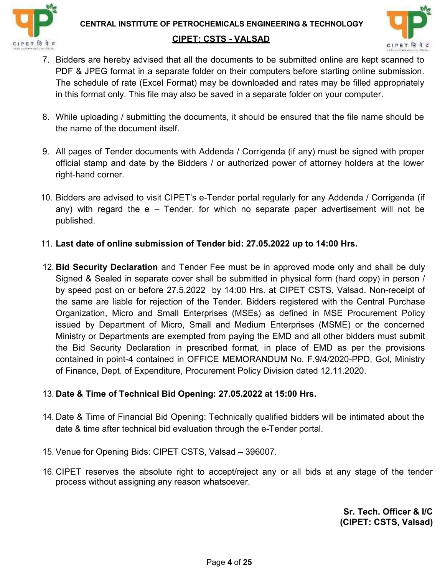



- 7. Bidders are hereby advised that all the documents to be submitted online are kept scanned to PDF & JPEG format in a separate folder on their computers before starting online submission. The schedule of rate (Excel Format) may be downloaded and rates may be filled appropriately in this format only. This file may also be saved in a separate folder on your computer.
- 8. While uploading / submitting the documents, it should be ensured that the file name should be the name of the document itself.
- 9. All pages of Tender documents with Addenda / Corrigenda (if any) must be signed with proper official stamp and date by the Bidders / or authorized power of attorney holders at the lower right-hand corner.
- 10. Bidders are advised to visit CIPET's e-Tender portal regularly for any Addenda / Corrigenda (if any) with regard the e – Tender, for which no separate paper advertisement will not be published.
- 11. Last date of online submission of Tender bid: 27.05.2022 up to 14:00 Hrs.
- 12. Bid Security Declaration and Tender Fee must be in approved mode only and shall be duly Signed & Sealed in separate cover shall be submitted in physical form (hard copy) in person / by speed post on or before 27.5.2022 by 14:00 Hrs. at CIPET CSTS, Valsad. Non-receipt of the same are liable for rejection of the Tender. Bidders registered with the Central Purchase Organization, Micro and Small Enterprises (MSEs) as defined in MSE Procurement Policy issued by Department of Micro, Small and Medium Enterprises (MSME) or the concerned Ministry or Departments are exempted from paying the EMD and all other bidders must submit the Bid Security Declaration in prescribed format, in place of EMD as per the provisions contained in point-4 contained in OFFICE MEMORANDUM No. F.9/4/2020-PPD, GoI, Ministry of Finance, Dept. of Expenditure, Procurement Policy Division dated 12.11.2020.

#### 13. Date & Time of Technical Bid Opening: 27.05.2022 at 15:00 Hrs.

- 14. Date & Time of Financial Bid Opening: Technically qualified bidders will be intimated about the date & time after technical bid evaluation through the e-Tender portal.
- 15. Venue for Opening Bids: CIPET CSTS, Valsad 396007.
- 16. CIPET reserves the absolute right to accept/reject any or all bids at any stage of the tender process without assigning any reason whatsoever.

Sr. Tech. Officer & I/C (CIPET: CSTS, Valsad)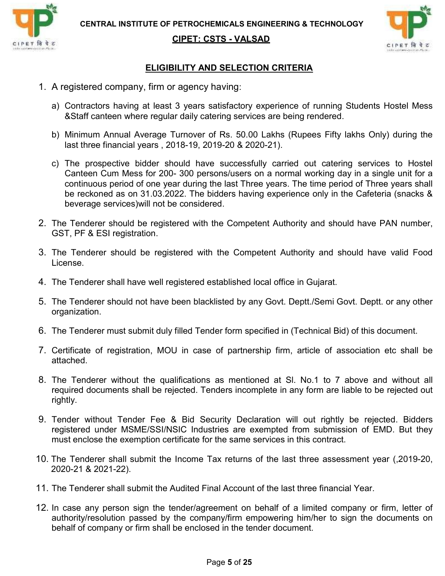

CIPET: CSTS - VALSAD



#### ELIGIBILITY AND SELECTION CRITERIA

- 1. A registered company, firm or agency having:
	- a) Contractors having at least 3 years satisfactory experience of running Students Hostel Mess &Staff canteen where regular daily catering services are being rendered.
	- b) Minimum Annual Average Turnover of Rs. 50.00 Lakhs (Rupees Fifty lakhs Only) during the last three financial years , 2018-19, 2019-20 & 2020-21).
	- c) The prospective bidder should have successfully carried out catering services to Hostel Canteen Cum Mess for 200- 300 persons/users on a normal working day in a single unit for a continuous period of one year during the last Three years. The time period of Three years shall be reckoned as on 31.03.2022. The bidders having experience only in the Cafeteria (snacks & beverage services)will not be considered.
- 2. The Tenderer should be registered with the Competent Authority and should have PAN number, GST, PF & ESI registration.
- 3. The Tenderer should be registered with the Competent Authority and should have valid Food License.
- 4. The Tenderer shall have well registered established local office in Gujarat.
- 5. The Tenderer should not have been blacklisted by any Govt. Deptt./Semi Govt. Deptt. or any other organization.
- 6. The Tenderer must submit duly filled Tender form specified in (Technical Bid) of this document.
- 7. Certificate of registration, MOU in case of partnership firm, article of association etc shall be attached.
- 8. The Tenderer without the qualifications as mentioned at Sl. No.1 to 7 above and without all required documents shall be rejected. Tenders incomplete in any form are liable to be rejected out rightly.
- 9. Tender without Tender Fee & Bid Security Declaration will out rightly be rejected. Bidders registered under MSME/SSI/NSIC Industries are exempted from submission of EMD. But they must enclose the exemption certificate for the same services in this contract.
- 10. The Tenderer shall submit the Income Tax returns of the last three assessment year (,2019-20, 2020-21 & 2021-22).
- 11. The Tenderer shall submit the Audited Final Account of the last three financial Year.
- 12. In case any person sign the tender/agreement on behalf of a limited company or firm, letter of authority/resolution passed by the company/firm empowering him/her to sign the documents on behalf of company or firm shall be enclosed in the tender document.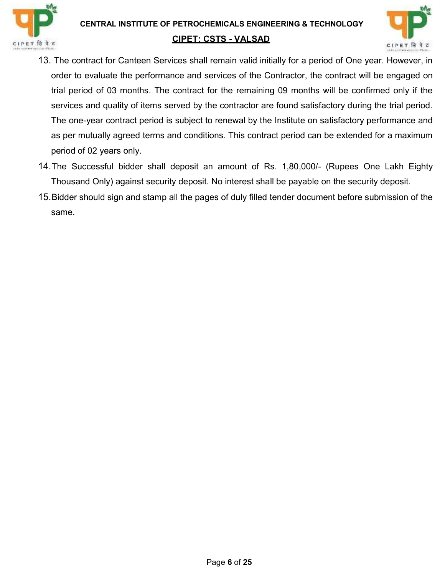



- 13.The contract for Canteen Services shall remain valid initially for a period of One year. However, in order to evaluate the performance and services of the Contractor, the contract will be engaged on trial period of 03 months. The contract for the remaining 09 months will be confirmed only if the services and quality of items served by the contractor are found satisfactory during the trial period. The one-year contract period is subject to renewal by the Institute on satisfactory performance and as per mutually agreed terms and conditions. This contract period can be extended for a maximum period of 02 years only.
- 14. The Successful bidder shall deposit an amount of Rs. 1,80,000/- (Rupees One Lakh Eighty Thousand Only) against security deposit. No interest shall be payable on the security deposit.
- 15. Bidder should sign and stamp all the pages of duly filled tender document before submission of the same.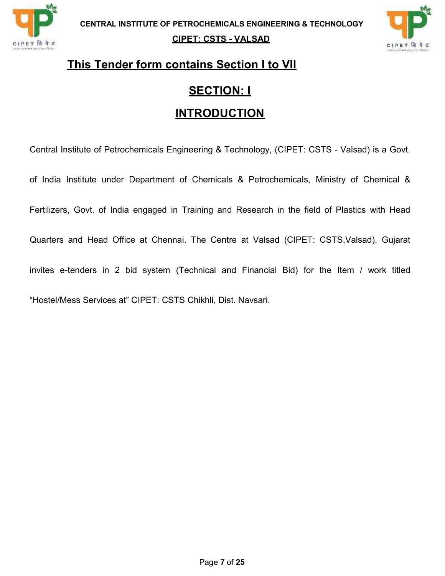

#### CIPET: CSTS - VALSAD



## This Tender form contains Section I to VII

### SECTION: I

### **INTRODUCTION**

Central Institute of Petrochemicals Engineering & Technology, (CIPET: CSTS - Valsad) is a Govt. of India Institute under Department of Chemicals & Petrochemicals, Ministry of Chemical & Fertilizers, Govt. of India engaged in Training and Research in the field of Plastics with Head Quarters and Head Office at Chennai. The Centre at Valsad (CIPET: CSTS,Valsad), Gujarat invites e-tenders in 2 bid system (Technical and Financial Bid) for the Item / work titled "Hostel/Mess Services at" CIPET: CSTS Chikhli, Dist. Navsari.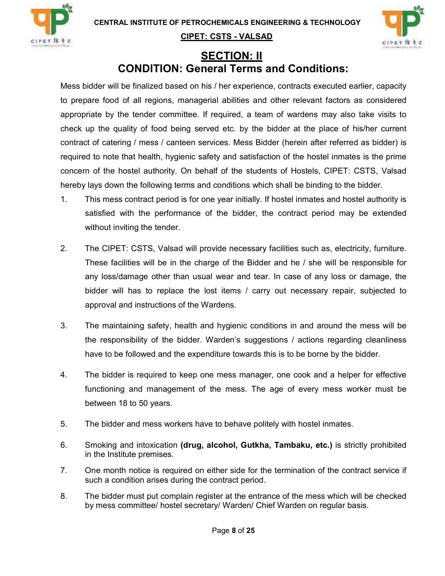



### SECTION: II CONDITION: General Terms and Conditions:

Mess bidder will be finalized based on his / her experience, contracts executed earlier, capacity to prepare food of all regions, managerial abilities and other relevant factors as considered appropriate by the tender committee. If required, a team of wardens may also take visits to check up the quality of food being served etc. by the bidder at the place of his/her current contract of catering / mess / canteen services. Mess Bidder (herein after referred as bidder) is required to note that health, hygienic safety and satisfaction of the hostel inmates is the prime concern of the hostel authority. On behalf of the students of Hostels, CIPET: CSTS, Valsad hereby lays down the following terms and conditions which shall be binding to the bidder.

- 1. This mess contract period is for one year initially. If hostel inmates and hostel authority is satisfied with the performance of the bidder, the contract period may be extended without inviting the tender.
- 2. The CIPET: CSTS, Valsad will provide necessary facilities such as, electricity, furniture. These facilities will be in the charge of the Bidder and he / she will be responsible for any loss/damage other than usual wear and tear. In case of any loss or damage, the bidder will has to replace the lost items / carry out necessary repair, subjected to approval and instructions of the Wardens.
- 3. The maintaining safety, health and hygienic conditions in and around the mess will be the responsibility of the bidder. Warden's suggestions / actions regarding cleanliness have to be followed and the expenditure towards this is to be borne by the bidder.
- 4. The bidder is required to keep one mess manager, one cook and a helper for effective functioning and management of the mess. The age of every mess worker must be between 18 to 50 years.
- 5. The bidder and mess workers have to behave politely with hostel inmates.
- 6. Smoking and intoxication (drug, alcohol, Gutkha, Tambaku, etc.) is strictly prohibited in the Institute premises.
- 7. One month notice is required on either side for the termination of the contract service if such a condition arises during the contract period.
- 8. The bidder must put complain register at the entrance of the mess which will be checked by mess committee/ hostel secretary/ Warden/ Chief Warden on regular basis.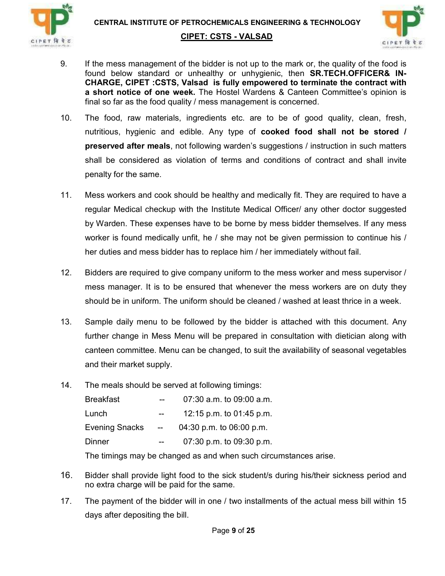



- 9. If the mess management of the bidder is not up to the mark or, the quality of the food is found below standard or unhealthy or unhygienic, then SR.TECH.OFFICER& IN-CHARGE, CIPET :CSTS, Valsad is fully empowered to terminate the contract with a short notice of one week. The Hostel Wardens & Canteen Committee's opinion is final so far as the food quality / mess management is concerned.
- 10. The food, raw materials, ingredients etc. are to be of good quality, clean, fresh, nutritious, hygienic and edible. Any type of cooked food shall not be stored / preserved after meals, not following warden's suggestions / instruction in such matters shall be considered as violation of terms and conditions of contract and shall invite penalty for the same.
- 11. Mess workers and cook should be healthy and medically fit. They are required to have a regular Medical checkup with the Institute Medical Officer/ any other doctor suggested by Warden. These expenses have to be borne by mess bidder themselves. If any mess worker is found medically unfit, he / she may not be given permission to continue his / her duties and mess bidder has to replace him / her immediately without fail.
- 12. Bidders are required to give company uniform to the mess worker and mess supervisor / mess manager. It is to be ensured that whenever the mess workers are on duty they should be in uniform. The uniform should be cleaned / washed at least thrice in a week.
- 13. Sample daily menu to be followed by the bidder is attached with this document. Any further change in Mess Menu will be prepared in consultation with dietician along with canteen committee. Menu can be changed, to suit the availability of seasonal vegetables and their market supply.
- 14. The meals should be served at following timings:

| <b>Breakfast</b> | $\sim$ $\sim$ | $07:30$ a.m. to $09:00$ a.m. |  |
|------------------|---------------|------------------------------|--|
| Lunch            | $\sim$ $\sim$ | 12:15 p.m. to $01:45$ p.m.   |  |
| Evening Snacks - |               | 04:30 p.m. to $06:00$ p.m.   |  |
| Dinner           | $-$           | 07:30 p.m. to $09:30$ p.m.   |  |

The timings may be changed as and when such circumstances arise.

- 16. Bidder shall provide light food to the sick student/s during his/their sickness period and no extra charge will be paid for the same.
- 17. The payment of the bidder will in one / two installments of the actual mess bill within 15 days after depositing the bill.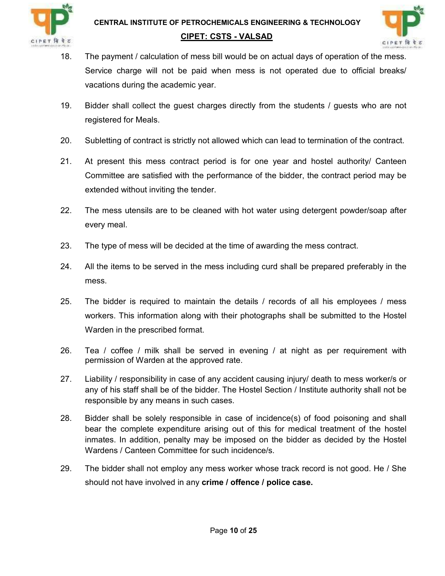

### CIPET: CSTS - VALSAD



- 18. The payment / calculation of mess bill would be on actual days of operation of the mess. Service charge will not be paid when mess is not operated due to official breaks/ vacations during the academic year.
- 19. Bidder shall collect the guest charges directly from the students / guests who are not registered for Meals.
- 20. Subletting of contract is strictly not allowed which can lead to termination of the contract.
- 21. At present this mess contract period is for one year and hostel authority/ Canteen Committee are satisfied with the performance of the bidder, the contract period may be extended without inviting the tender.
- 22. The mess utensils are to be cleaned with hot water using detergent powder/soap after every meal.
- 23. The type of mess will be decided at the time of awarding the mess contract.
- 24. All the items to be served in the mess including curd shall be prepared preferably in the mess.
- 25. The bidder is required to maintain the details / records of all his employees / mess workers. This information along with their photographs shall be submitted to the Hostel Warden in the prescribed format.
- 26. Tea / coffee / milk shall be served in evening / at night as per requirement with permission of Warden at the approved rate.
- 27. Liability / responsibility in case of any accident causing injury/ death to mess worker/s or any of his staff shall be of the bidder. The Hostel Section / Institute authority shall not be responsible by any means in such cases.
- 28. Bidder shall be solely responsible in case of incidence(s) of food poisoning and shall bear the complete expenditure arising out of this for medical treatment of the hostel inmates. In addition, penalty may be imposed on the bidder as decided by the Hostel Wardens / Canteen Committee for such incidence/s.
- 29. The bidder shall not employ any mess worker whose track record is not good. He / She should not have involved in any crime / offence / police case.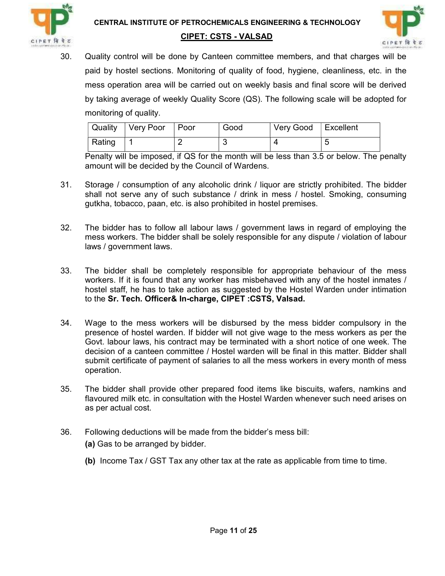



30. Quality control will be done by Canteen committee members, and that charges will be paid by hostel sections. Monitoring of quality of food, hygiene, cleanliness, etc. in the mess operation area will be carried out on weekly basis and final score will be derived by taking average of weekly Quality Score (QS). The following scale will be adopted for monitoring of quality.

| <b>Quality</b> | Very Poor   Poor |   | Good | Very Good   Excellent |  |
|----------------|------------------|---|------|-----------------------|--|
| Rating         |                  | - |      |                       |  |

Penalty will be imposed, if QS for the month will be less than 3.5 or below. The penalty amount will be decided by the Council of Wardens.

- 31. Storage / consumption of any alcoholic drink / liquor are strictly prohibited. The bidder shall not serve any of such substance / drink in mess / hostel. Smoking, consuming gutkha, tobacco, paan, etc. is also prohibited in hostel premises.
- 32. The bidder has to follow all labour laws / government laws in regard of employing the mess workers. The bidder shall be solely responsible for any dispute / violation of labour laws / government laws.
- 33. The bidder shall be completely responsible for appropriate behaviour of the mess workers. If it is found that any worker has misbehaved with any of the hostel inmates / hostel staff, he has to take action as suggested by the Hostel Warden under intimation to the Sr. Tech. Officer& In-charge, CIPET :CSTS, Valsad.
- 34. Wage to the mess workers will be disbursed by the mess bidder compulsory in the presence of hostel warden. If bidder will not give wage to the mess workers as per the Govt. labour laws, his contract may be terminated with a short notice of one week. The decision of a canteen committee / Hostel warden will be final in this matter. Bidder shall submit certificate of payment of salaries to all the mess workers in every month of mess operation.
- 35. The bidder shall provide other prepared food items like biscuits, wafers, namkins and flavoured milk etc. in consultation with the Hostel Warden whenever such need arises on as per actual cost.
- 36. Following deductions will be made from the bidder's mess bill:
	- (a) Gas to be arranged by bidder.
	- (b) Income Tax / GST Tax any other tax at the rate as applicable from time to time.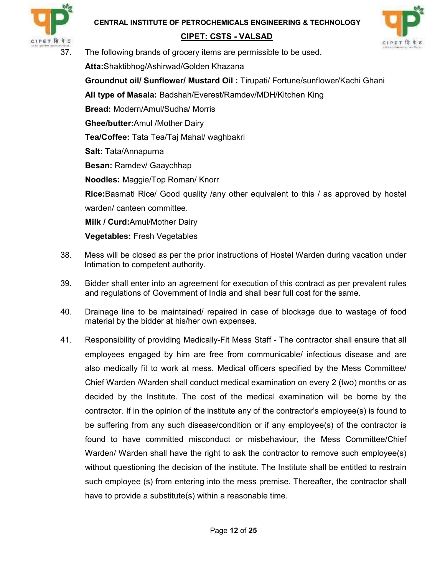

### CIPET: CSTS - VALSAD



37. The following brands of grocery items are permissible to be used.

Atta:Shaktibhog/Ashirwad/Golden Khazana

Groundnut oil/ Sunflower/ Mustard Oil : Tirupati/ Fortune/sunflower/Kachi Ghani

All type of Masala: Badshah/Everest/Ramdev/MDH/Kitchen King

Bread: Modern/Amul/Sudha/ Morris

Ghee/butter:Amul /Mother Dairy

Tea/Coffee: Tata Tea/Taj Mahal/ waghbakri

Salt: Tata/Annapurna

Besan: Ramdev/ Gaaychhap

Noodles: Maggie/Top Roman/ Knorr

**Rice:**Basmati Rice/ Good quality /any other equivalent to this / as approved by hostel warden/ canteen committee.

Milk / Curd:Amul/Mother Dairy

Vegetables: Fresh Vegetables

- 38. Mess will be closed as per the prior instructions of Hostel Warden during vacation under Intimation to competent authority.
- 39. Bidder shall enter into an agreement for execution of this contract as per prevalent rules and regulations of Government of India and shall bear full cost for the same.
- 40. Drainage line to be maintained/ repaired in case of blockage due to wastage of food material by the bidder at his/her own expenses.
- 41. Responsibility of providing Medically-Fit Mess Staff The contractor shall ensure that all employees engaged by him are free from communicable/ infectious disease and are also medically fit to work at mess. Medical officers specified by the Mess Committee/ Chief Warden /Warden shall conduct medical examination on every 2 (two) months or as decided by the Institute. The cost of the medical examination will be borne by the contractor. If in the opinion of the institute any of the contractor's employee(s) is found to be suffering from any such disease/condition or if any employee(s) of the contractor is found to have committed misconduct or misbehaviour, the Mess Committee/Chief Warden/ Warden shall have the right to ask the contractor to remove such employee(s) without questioning the decision of the institute. The Institute shall be entitled to restrain such employee (s) from entering into the mess premise. Thereafter, the contractor shall have to provide a substitute(s) within a reasonable time.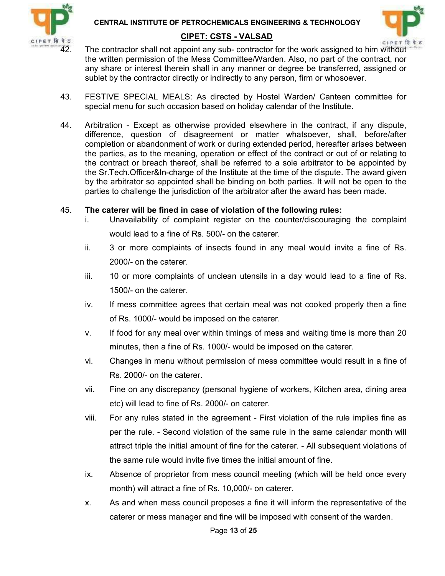



- 42. The contractor shall not appoint any sub- contractor for the work assigned to him without the written permission of the Mess Committee/Warden. Also, no part of the contract, nor any share or interest therein shall in any manner or degree be transferred, assigned or sublet by the contractor directly or indirectly to any person, firm or whosoever.
- 43. FESTIVE SPECIAL MEALS: As directed by Hostel Warden/ Canteen committee for special menu for such occasion based on holiday calendar of the Institute.
- 44. Arbitration Except as otherwise provided elsewhere in the contract, if any dispute, difference, question of disagreement or matter whatsoever, shall, before/after completion or abandonment of work or during extended period, hereafter arises between the parties, as to the meaning, operation or effect of the contract or out of or relating to the contract or breach thereof, shall be referred to a sole arbitrator to be appointed by the Sr.Tech.Officer&In-charge of the Institute at the time of the dispute. The award given by the arbitrator so appointed shall be binding on both parties. It will not be open to the parties to challenge the jurisdiction of the arbitrator after the award has been made.

#### 45. The caterer will be fined in case of violation of the following rules:

- i. Unavailability of complaint register on the counter/discouraging the complaint would lead to a fine of Rs. 500/- on the caterer.
- ii. 3 or more complaints of insects found in any meal would invite a fine of Rs. 2000/- on the caterer.
- iii. 10 or more complaints of unclean utensils in a day would lead to a fine of Rs. 1500/- on the caterer.
- iv. If mess committee agrees that certain meal was not cooked properly then a fine of Rs. 1000/- would be imposed on the caterer.
- v. If food for any meal over within timings of mess and waiting time is more than 20 minutes, then a fine of Rs. 1000/- would be imposed on the caterer.
- vi. Changes in menu without permission of mess committee would result in a fine of Rs. 2000/- on the caterer.
- vii. Fine on any discrepancy (personal hygiene of workers, Kitchen area, dining area etc) will lead to fine of Rs. 2000/- on caterer.
- viii. For any rules stated in the agreement First violation of the rule implies fine as per the rule. - Second violation of the same rule in the same calendar month will attract triple the initial amount of fine for the caterer. - All subsequent violations of the same rule would invite five times the initial amount of fine.
- ix. Absence of proprietor from mess council meeting (which will be held once every month) will attract a fine of Rs. 10,000/- on caterer.
- x. As and when mess council proposes a fine it will inform the representative of the caterer or mess manager and fine will be imposed with consent of the warden.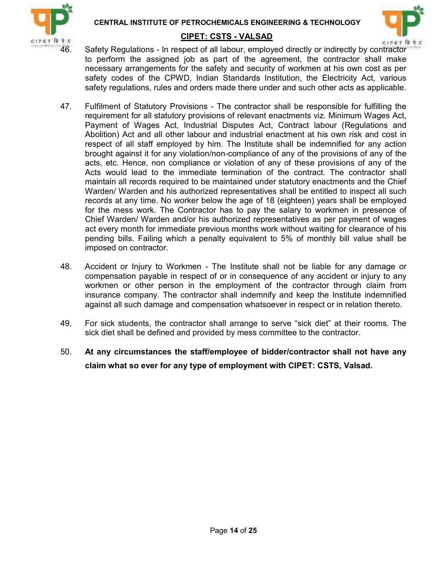



46. Safety Regulations - In respect of all labour, employed directly or indirectly by contractor to perform the assigned job as part of the agreement, the contractor shall make necessary arrangements for the safety and security of workmen at his own cost as per safety codes of the CPWD, Indian Standards Institution, the Electricity Act, various safety regulations, rules and orders made there under and such other acts as applicable.

- 47. Fulfilment of Statutory Provisions The contractor shall be responsible for fulfilling the requirement for all statutory provisions of relevant enactments viz. Minimum Wages Act, Payment of Wages Act, Industrial Disputes Act, Contract labour (Regulations and Abolition) Act and all other labour and industrial enactment at his own risk and cost in respect of all staff employed by him. The Institute shall be indemnified for any action brought against it for any violation/non-compliance of any of the provisions of any of the acts, etc. Hence, non compliance or violation of any of these provisions of any of the Acts would lead to the immediate termination of the contract. The contractor shall maintain all records required to be maintained under statutory enactments and the Chief Warden/ Warden and his authorized representatives shall be entitled to inspect all such records at any time. No worker below the age of 18 (eighteen) years shall be employed for the mess work. The Contractor has to pay the salary to workmen in presence of Chief Warden/ Warden and/or his authorized representatives as per payment of wages act every month for immediate previous months work without waiting for clearance of his pending bills. Failing which a penalty equivalent to 5% of monthly bill value shall be imposed on contractor.
- 48. Accident or Injury to Workmen The Institute shall not be liable for any damage or compensation payable in respect of or in consequence of any accident or injury to any workmen or other person in the employment of the contractor through claim from insurance company. The contractor shall indemnify and keep the Institute indemnified against all such damage and compensation whatsoever in respect or in relation thereto.
- 49. For sick students, the contractor shall arrange to serve "sick diet" at their rooms. The sick diet shall be defined and provided by mess committee to the contractor.
- 50. At any circumstances the staff/employee of bidder/contractor shall not have any claim what so ever for any type of employment with CIPET: CSTS, Valsad.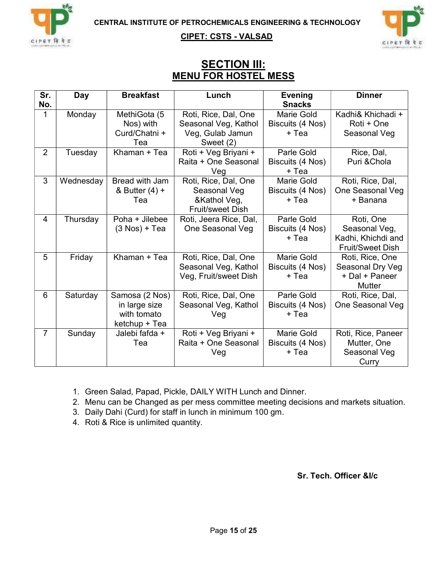

**CIPET: CSTS - VALSAD**<br>CIPET <sup>19</sup> TC



#### **SECTION III:** MENU FOR HOSTEL MESS

| Sr.            | Day       | <b>Breakfast</b> | Lunch                  | <b>Evening</b>    | <b>Dinner</b>           |
|----------------|-----------|------------------|------------------------|-------------------|-------------------------|
| No.            |           |                  |                        | <b>Snacks</b>     |                         |
| $\mathbf 1$    | Monday    | MethiGota (5     | Roti, Rice, Dal, One   | Marie Gold        | Kadhi& Khichadi +       |
|                |           | Nos) with        | Seasonal Veg, Kathol   | Biscuits (4 Nos)  | Roti + One              |
|                |           | Curd/Chatni +    | Veg, Gulab Jamun       | + Tea             | Seasonal Veg            |
|                |           | Tea              | Sweet (2)              |                   |                         |
| $\overline{2}$ | Tuesday   | Khaman + Tea     | Roti + Veg Briyani +   | Parle Gold        | Rice, Dal,              |
|                |           |                  | Raita + One Seasonal   | Biscuits (4 Nos)  | Puri & Chola            |
|                |           |                  | Veg                    | + Tea             |                         |
| 3              | Wednesday | Bread with Jam   | Roti, Rice, Dal, One   | <b>Marie Gold</b> | Roti, Rice, Dal,        |
|                |           | & Butter $(4) +$ | Seasonal Veg           | Biscuits (4 Nos)  | One Seasonal Veg        |
|                |           | Tea              | &Kathol Veg,           | + Tea             | + Banana                |
|                |           |                  | Fruit/sweet Dish       |                   |                         |
| 4              | Thursday  | Poha + Jilebee   | Roti, Jeera Rice, Dal, | Parle Gold        | Roti, One               |
|                |           | $(3$ Nos) + Tea  | One Seasonal Veg       | Biscuits (4 Nos)  | Seasonal Veg,           |
|                |           |                  |                        | + Tea             | Kadhi, Khichdi and      |
|                |           |                  |                        |                   | <b>Fruit/Sweet Dish</b> |
| 5              | Friday    | Khaman + Tea     | Roti, Rice, Dal, One   | Marie Gold        | Roti, Rice, One         |
|                |           |                  | Seasonal Veg, Kathol   | Biscuits (4 Nos)  | Seasonal Dry Veg        |
|                |           |                  | Veg, Fruit/sweet Dish  | + Tea             | + Dal + Paneer          |
|                |           |                  |                        |                   | <b>Mutter</b>           |
| 6              | Saturday  | Samosa (2 Nos)   | Roti, Rice, Dal, One   | Parle Gold        | Roti, Rice, Dal,        |
|                |           | in large size    | Seasonal Veg, Kathol   | Biscuits (4 Nos)  | One Seasonal Veg        |
|                |           | with tomato      | Veg                    | + Tea             |                         |
|                |           | ketchup + Tea    |                        |                   |                         |
| $\overline{7}$ | Sunday    | Jalebi fafda +   | Roti + Veg Briyani +   | Marie Gold        | Roti, Rice, Paneer      |
|                |           | Tea              | Raita + One Seasonal   | Biscuits (4 Nos)  | Mutter, One             |
|                |           |                  | Veg                    | + Tea             | Seasonal Veg            |
|                |           |                  |                        |                   | Curry                   |

1. Green Salad, Papad, Pickle, DAILY WITH Lunch and Dinner.

2. Menu can be Changed as per mess committee meeting decisions and markets situation.

3. Daily Dahi (Curd) for staff in lunch in minimum 100 gm.

4. Roti & Rice is unlimited quantity.

Sr. Tech. Officer &I/c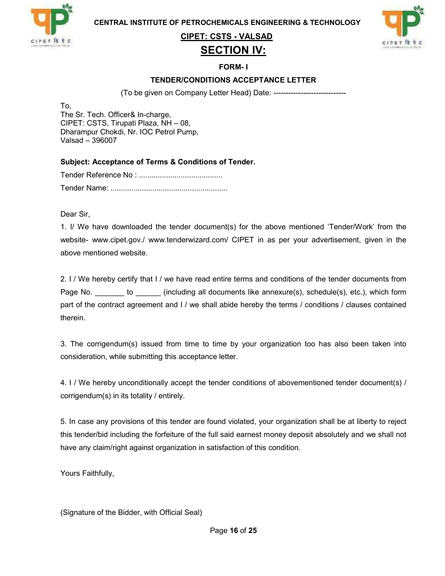

CIPET: CSTS - VALSAD

#### SECTION IV:



FORM- I

#### TENDER/CONDITIONS ACCEPTANCE LETTER

(To be given on Company Letter Head) Date: -----------------------------

To, The Sr. Tech. Officer& In-charge, CIPET: CSTS, Tirupati Plaza, NH – 08, Dharampur Chokdi, Nr. IOC Petrol Pump, Valsad – 396007

Subject: Acceptance of Terms & Conditions of Tender.

Tender Reference No : ........................................ Tender Name: ........................................................

Dear Sir,

1. I/ We have downloaded the tender document(s) for the above mentioned 'Tender/Work' from the website- www.cipet.gov./ www.tenderwizard.com/ CIPET in as per your advertisement, given in the above mentioned website.

2. I / We hereby certify that I / we have read entire terms and conditions of the tender documents from Page No. \_\_\_\_\_\_\_ to \_\_\_\_\_\_ (including all documents like annexure(s), schedule(s), etc.), which form part of the contract agreement and I / we shall abide hereby the terms / conditions / clauses contained therein.

3. The corrigendum(s) issued from time to time by your organization too has also been taken into consideration, while submitting this acceptance letter.

4. I / We hereby unconditionally accept the tender conditions of abovementioned tender document(s) / corrigendum(s) in its totality / entirely.

5. In case any provisions of this tender are found violated, your organization shall be at liberty to reject this tender/bid including the forfeiture of the full said earnest money deposit absolutely and we shall not have any claim/right against organization in satisfaction of this condition.

Yours Faithfully,

(Signature of the Bidder, with Official Seal)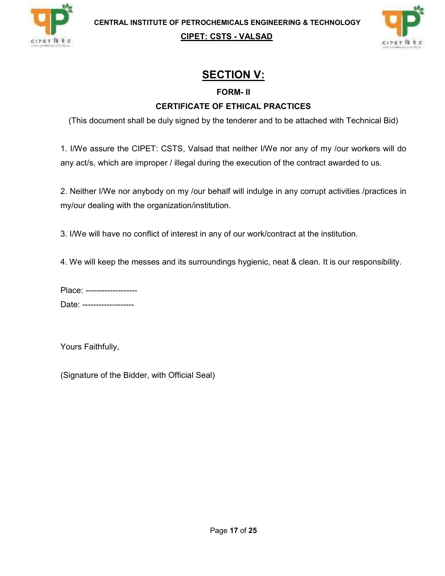



### SECTION V:

#### FORM- II

#### CERTIFICATE OF ETHICAL PRACTICES

(This document shall be duly signed by the tenderer and to be attached with Technical Bid)

1. I/We assure the CIPET: CSTS, Valsad that neither I/We nor any of my /our workers will do any act/s, which are improper / illegal during the execution of the contract awarded to us.

2. Neither I/We nor anybody on my /our behalf will indulge in any corrupt activities /practices in my/our dealing with the organization/institution.

3. I/We will have no conflict of interest in any of our work/contract at the institution.

4. We will keep the messes and its surroundings hygienic, neat & clean. It is our responsibility.

| Place: -------------------- |  |
|-----------------------------|--|
| Date: -------------------   |  |

Yours Faithfully,

(Signature of the Bidder, with Official Seal)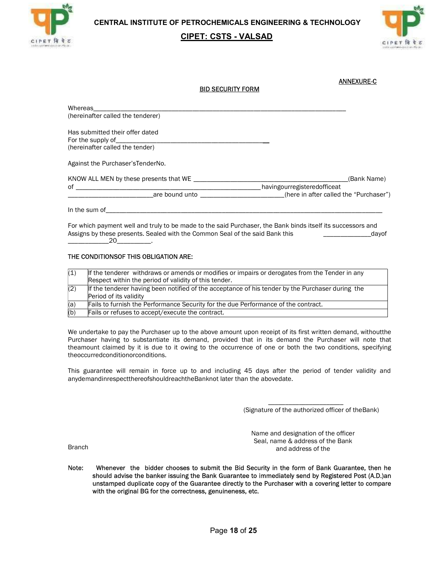

#### CIPET: CSTS - VALSAD



| <b>BID SECURITY FORM</b>                             | <b>ANNEXURE-C</b>                                                    |
|------------------------------------------------------|----------------------------------------------------------------------|
|                                                      |                                                                      |
| (hereinafter called the tenderer)                    |                                                                      |
| Has submitted their offer dated<br>For the supply of |                                                                      |
| (hereinafter called the tender)                      |                                                                      |
| Against the Purchaser's Tender No.                   |                                                                      |
|                                                      | (Bank Name)                                                          |
| $\circ$ f $\qquad \qquad \overbrace{\qquad \qquad }$ | havingourregisteredofficeat                                          |
|                                                      | are bound unto example the same state of the called the "Purchaser") |

For which payment well and truly to be made to the said Purchaser, the Bank binds itself its successors and Assigns by these presents. Sealed with the Common Seal of the said Bank this 20 \_\_\_\_\_\_\_\_\_\_\_\_20\_\_\_\_\_\_\_\_\_\_. \_\_\_\_\_\_\_\_\_\_\_\_\_\_dayof

#### THE CONDITIONSOF THIS OBLIGATION ARE:

| (1) | If the tenderer withdraws or amends or modifies or impairs or derogates from the Tender in any<br>Respect within the period of validity of this tender. |
|-----|---------------------------------------------------------------------------------------------------------------------------------------------------------|
| (2) | If the tenderer having been notified of the acceptance of his tender by the Purchaser during the<br>Period of its validity                              |
| (a) | Fails to furnish the Performance Security for the due Performance of the contract.                                                                      |
| (b) | Fails or refuses to accept/execute the contract.                                                                                                        |

We undertake to pay the Purchaser up to the above amount upon receipt of its first written demand, withoutthe Purchaser having to substantiate its demand, provided that in its demand the Purchaser will note that theamount claimed by it is due to it owing to the occurrence of one or both the two conditions, specifying theoccurredconditionorconditions.

This guarantee will remain in force up to and including 45 days after the period of tender validity and anydemandinrespectthereofshouldreachtheBanknot later than the abovedate. \_\_\_\_\_\_\_\_\_\_\_\_\_\_\_\_\_\_\_\_\_\_ (Signature of the authorized officer of theBank)

Name and designation of the officer Seal, name & address of the Bank and address of the

Branch

Note: Whenever the bidder chooses to submit the Bid Security in the form of Bank Guarantee, then he should advise the banker issuing the Bank Guarantee to immediately send by Registered Post (A.D.)an unstamped duplicate co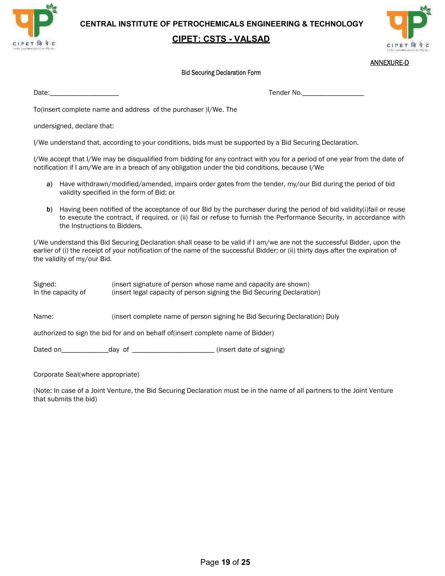

#### CIPET: CSTS - VALSAD



#### ANNEXURE-D

#### Bid Securing Declaration Form

Date:\_\_\_\_\_\_\_\_\_\_\_\_\_\_\_\_\_\_\_ Tender No.\_\_\_\_\_\_\_\_\_\_\_\_\_\_\_\_\_

To(insert complete name and address of the purchaser )I/We. The

undersigned, declare that:

I/We understand that, according to your conditions, bids must be supported by a Bid Securing Declaration.

I/We accept that I/We may be disqualified from bidding for any contract with you for a period of one year from the date of notification if I am/We are in a breach of any obligation under the bid conditions, because I/We

- a) Have withdrawn/modified/amended, impairs order gates from the tender, my/our Bid during the period of bid validity specified in the form of Bid; or
- b) Having been notified of the acceptance of our Bid by the purchaser during the period of bid validity(i)fail or reuse to execute the contract, if required, or (ii) fail or refuse to furnish the Performance Security, in accordance with the Instructions to Bidders.

I/We understand this Bid Securing Declaration shall cease to be valid if I am/we are not the successful Bidder, upon the earlier of (i) the receipt of your notification of the name of the successful Bidder; or (ii) thirty days after the expiration of the validity of my/our Bid.

Signed: (insert signature of person whose name and capacity are shown) In the capacity of (insert legal capacity of person signing the Bid Securing Declaration) Name: (insert complete name of person signing he Bid Securing Declaration) Duly authorized to sign the bid for and on behalf of(insert complete name of Bidder) Dated on the day of the contract of the contract of signing)

Corporate Seal(where appropriate)

(Note: In case of a Joint Venture, the Bid Securing Declaration must be in the name of all partners to the Joint Venture that submits the bid)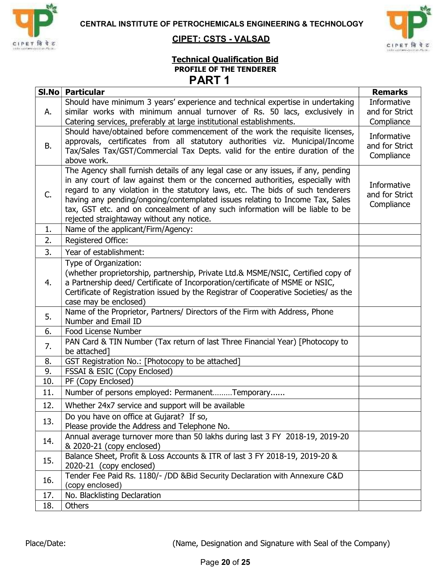



#### CIPET: CSTS - VALSAD

#### Technical Qualification Bid PROFILE OF THE TENDERER PART 1

| SI.No | <b>Particular</b>                                                                                                                                                                                                                                                                                                                                                                                                                                                   | <b>Remarks</b>                              |
|-------|---------------------------------------------------------------------------------------------------------------------------------------------------------------------------------------------------------------------------------------------------------------------------------------------------------------------------------------------------------------------------------------------------------------------------------------------------------------------|---------------------------------------------|
| А.    | Should have minimum 3 years' experience and technical expertise in undertaking<br>similar works with minimum annual turnover of Rs. 50 lacs, exclusively in<br>Catering services, preferably at large institutional establishments.                                                                                                                                                                                                                                 | Informative<br>and for Strict<br>Compliance |
| В.    | Should have/obtained before commencement of the work the requisite licenses,<br>approvals, certificates from all statutory authorities viz. Municipal/Income<br>Tax/Sales Tax/GST/Commercial Tax Depts. valid for the entire duration of the<br>above work.                                                                                                                                                                                                         | Informative<br>and for Strict<br>Compliance |
| C.    | The Agency shall furnish details of any legal case or any issues, if any, pending<br>in any court of law against them or the concerned authorities, especially with<br>regard to any violation in the statutory laws, etc. The bids of such tenderers<br>having any pending/ongoing/contemplated issues relating to Income Tax, Sales<br>tax, GST etc. and on concealment of any such information will be liable to be<br>rejected straightaway without any notice. | Informative<br>and for Strict<br>Compliance |
| 1.    | Name of the applicant/Firm/Agency:                                                                                                                                                                                                                                                                                                                                                                                                                                  |                                             |
| 2.    | Registered Office:                                                                                                                                                                                                                                                                                                                                                                                                                                                  |                                             |
| 3.    | Year of establishment:                                                                                                                                                                                                                                                                                                                                                                                                                                              |                                             |
| 4.    | Type of Organization:<br>(whether proprietorship, partnership, Private Ltd.& MSME/NSIC, Certified copy of<br>a Partnership deed/ Certificate of Incorporation/certificate of MSME or NSIC,<br>Certificate of Registration issued by the Registrar of Cooperative Societies/ as the<br>case may be enclosed)                                                                                                                                                         |                                             |
| 5.    | Name of the Proprietor, Partners/ Directors of the Firm with Address, Phone<br>Number and Email ID                                                                                                                                                                                                                                                                                                                                                                  |                                             |
| 6.    | Food License Number                                                                                                                                                                                                                                                                                                                                                                                                                                                 |                                             |
| 7.    | PAN Card & TIN Number (Tax return of last Three Financial Year) [Photocopy to<br>be attached]                                                                                                                                                                                                                                                                                                                                                                       |                                             |
| 8.    | GST Registration No.: [Photocopy to be attached]                                                                                                                                                                                                                                                                                                                                                                                                                    |                                             |
| 9.    | FSSAI & ESIC (Copy Enclosed)                                                                                                                                                                                                                                                                                                                                                                                                                                        |                                             |
| 10.   | PF (Copy Enclosed)                                                                                                                                                                                                                                                                                                                                                                                                                                                  |                                             |
| 11.   | Number of persons employed: PermanentTemporary                                                                                                                                                                                                                                                                                                                                                                                                                      |                                             |
| 12.   | Whether 24x7 service and support will be available                                                                                                                                                                                                                                                                                                                                                                                                                  |                                             |
| 13.   | Do you have on office at Gujarat? If so,<br>Please provide the Address and Telephone No.                                                                                                                                                                                                                                                                                                                                                                            |                                             |
| 14.   | Annual average turnover more than 50 lakhs during last 3 FY 2018-19, 2019-20<br>& 2020-21 (copy enclosed)                                                                                                                                                                                                                                                                                                                                                           |                                             |
| 15.   | Balance Sheet, Profit & Loss Accounts & ITR of last 3 FY 2018-19, 2019-20 &<br>2020-21 (copy enclosed)                                                                                                                                                                                                                                                                                                                                                              |                                             |
| 16.   | Tender Fee Paid Rs. 1180/- /DD & Bid Security Declaration with Annexure C&D<br>(copy enclosed)                                                                                                                                                                                                                                                                                                                                                                      |                                             |
| 17.   | No. Blacklisting Declaration                                                                                                                                                                                                                                                                                                                                                                                                                                        |                                             |
| 18.   | <b>Others</b>                                                                                                                                                                                                                                                                                                                                                                                                                                                       |                                             |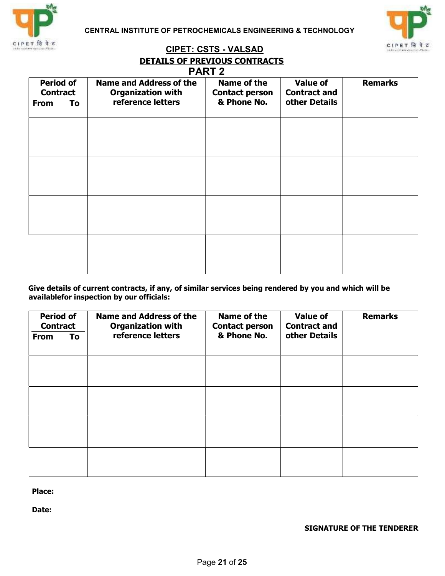



### CIPET: CSTS - VALSAD DETAILS OF PREVIOUS CONTRACTS

|                                     | <b>PART 2</b> |                                                            |                                      |                                        |                |  |  |  |
|-------------------------------------|---------------|------------------------------------------------------------|--------------------------------------|----------------------------------------|----------------|--|--|--|
| <b>Period of</b><br><b>Contract</b> |               | <b>Name and Address of the</b><br><b>Organization with</b> | Name of the<br><b>Contact person</b> | <b>Value of</b><br><b>Contract and</b> | <b>Remarks</b> |  |  |  |
| <b>From</b>                         | To            | reference letters                                          | & Phone No.                          | other Details                          |                |  |  |  |
|                                     |               |                                                            |                                      |                                        |                |  |  |  |
|                                     |               |                                                            |                                      |                                        |                |  |  |  |
|                                     |               |                                                            |                                      |                                        |                |  |  |  |
|                                     |               |                                                            |                                      |                                        |                |  |  |  |
|                                     |               |                                                            |                                      |                                        |                |  |  |  |
|                                     |               |                                                            |                                      |                                        |                |  |  |  |
|                                     |               |                                                            |                                      |                                        |                |  |  |  |
|                                     |               |                                                            |                                      |                                        |                |  |  |  |
|                                     |               |                                                            |                                      |                                        |                |  |  |  |
|                                     |               |                                                            |                                      |                                        |                |  |  |  |
|                                     |               |                                                            |                                      |                                        |                |  |  |  |

 Give details of current contracts, if any, of similar services being rendered by you and which will be availablefor inspection by our officials:

| <b>Period of</b><br><b>Contract</b> |    | <b>Name and Address of the</b><br><b>Organization with</b> | Name of the<br><b>Contact person</b> | <b>Value of</b><br><b>Contract and</b> | <b>Remarks</b> |  |
|-------------------------------------|----|------------------------------------------------------------|--------------------------------------|----------------------------------------|----------------|--|
| <b>From</b>                         | To | reference letters                                          | & Phone No.                          | other Details                          |                |  |
|                                     |    |                                                            |                                      |                                        |                |  |
|                                     |    |                                                            |                                      |                                        |                |  |
|                                     |    |                                                            |                                      |                                        |                |  |
|                                     |    |                                                            |                                      |                                        |                |  |
|                                     |    |                                                            |                                      |                                        |                |  |

Place:

Date:

SIGNATURE OF THE TENDERER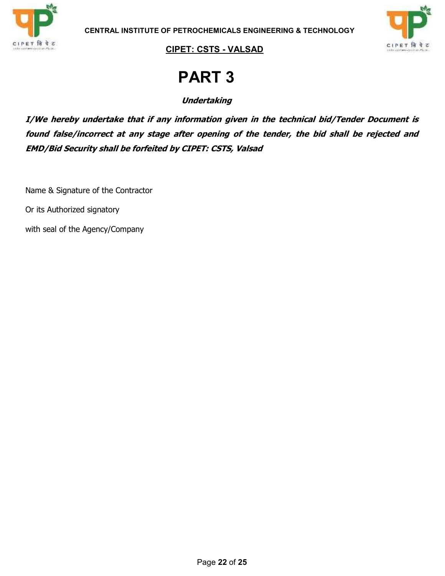



# PART 3

**Undertaking** 

I/We hereby undertake that if any information given in the technical bid/Tender Document is found false/incorrect at any stage after opening of the tender, the bid shall be rejected and EMD/Bid Security shall be forfeited by CIPET: CSTS, Valsad

Name & Signature of the Contractor

Or its Authorized signatory

with seal of the Agency/Company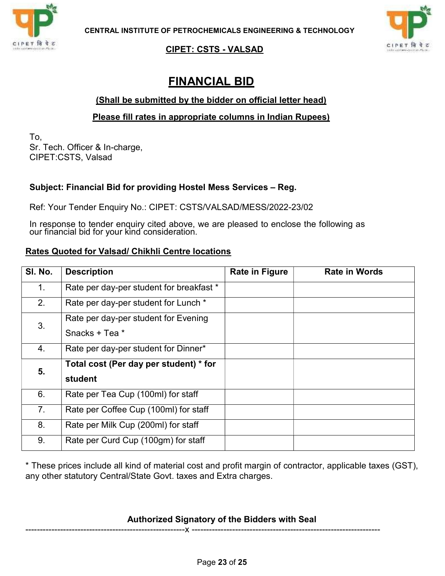

<u>CIPET: CSTS - VALSAD</u>

### FINANCIAL BID

#### (Shall be submitted by the bidder on official letter head)

#### Please fill rates in appropriate columns in Indian Rupees)

To, Sr. Tech. Officer & In-charge, CIPET:CSTS, Valsad

#### Subject: Financial Bid for providing Hostel Mess Services – Reg.

Ref: Your Tender Enquiry No.: CIPET: CSTS/VALSAD/MESS/2022-23/02

In response to tender enquiry cited above, we are pleased to enclose the following as our financial bid for your kind consideration.

#### Rates Quoted for Valsad/ Chikhli Centre locations

| SI. No. | <b>Description</b>                       | <b>Rate in Figure</b> | <b>Rate in Words</b> |
|---------|------------------------------------------|-----------------------|----------------------|
| 1.      | Rate per day-per student for breakfast * |                       |                      |
| 2.      | Rate per day-per student for Lunch *     |                       |                      |
| 3.      | Rate per day-per student for Evening     |                       |                      |
|         | Snacks + Tea *                           |                       |                      |
| 4.      | Rate per day-per student for Dinner*     |                       |                      |
| 5.      | Total cost (Per day per student) * for   |                       |                      |
|         | student                                  |                       |                      |
| 6.      | Rate per Tea Cup (100ml) for staff       |                       |                      |
| 7.      | Rate per Coffee Cup (100ml) for staff    |                       |                      |
| 8.      | Rate per Milk Cup (200ml) for staff      |                       |                      |
| 9.      | Rate per Curd Cup (100gm) for staff      |                       |                      |

\* These prices include all kind of material cost and profit margin of contractor, applicable taxes (GST), any other statutory Central/State Govt. taxes and Extra charges.

#### Authorized Signatory of the Bidders with Seal

-------------------------------------------------------x -----------------------------------------------------------------



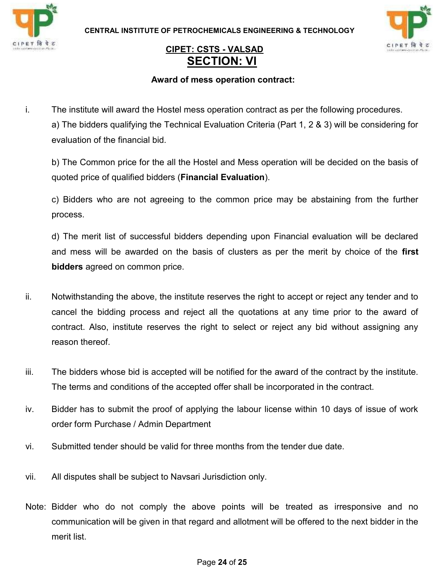



### CIPET: CSTS - VALSAD SECTION: VI

#### Award of mess operation contract:

i. The institute will award the Hostel mess operation contract as per the following procedures. a) The bidders qualifying the Technical Evaluation Criteria (Part 1, 2 & 3) will be considering for evaluation of the financial bid.

b) The Common price for the all the Hostel and Mess operation will be decided on the basis of quoted price of qualified bidders (Financial Evaluation).

c) Bidders who are not agreeing to the common price may be abstaining from the further process.

d) The merit list of successful bidders depending upon Financial evaluation will be declared and mess will be awarded on the basis of clusters as per the merit by choice of the first bidders agreed on common price.

- ii. Notwithstanding the above, the institute reserves the right to accept or reject any tender and to cancel the bidding process and reject all the quotations at any time prior to the award of contract. Also, institute reserves the right to select or reject any bid without assigning any reason thereof.
- iii. The bidders whose bid is accepted will be notified for the award of the contract by the institute. The terms and conditions of the accepted offer shall be incorporated in the contract.
- iv. Bidder has to submit the proof of applying the labour license within 10 days of issue of work order form Purchase / Admin Department
- vi. Submitted tender should be valid for three months from the tender due date.
- vii. All disputes shall be subject to Navsari Jurisdiction only.
- Note: Bidder who do not comply the above points will be treated as irresponsive and no communication will be given in that regard and allotment will be offered to the next bidder in the merit list.